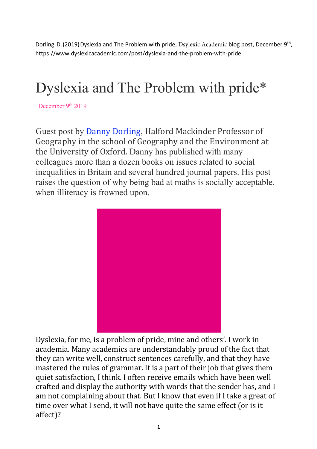Dorling, D. (2019) Dyslexia and The Problem with pride, Dsylexic Academic blog post, December 9<sup>th</sup>, https://www.dyslexicacademic.com/post/dyslexia-and-the-problem-with-pride

## Dyslexia and The Problem with pride\*

December 9<sup>th</sup> 2019

Guest post by Danny Dorling, Halford Mackinder Professor of Geography in the school of Geography and the Environment at the University of Oxford. Danny has published with many colleagues more than a dozen books on issues related to social inequalities in Britain and several hundred journal papers. His post raises the question of why being bad at maths is socially acceptable, when illiteracy is frowned upon.



Dyslexia, for me, is a problem of pride, mine and others'. I work in academia. Many academics are understandably proud of the fact that they can write well, construct sentences carefully, and that they have mastered the rules of grammar. It is a part of their job that gives them quiet satisfaction, I think. I often receive emails which have been well crafted and display the authority with words that the sender has, and I am not complaining about that. But I know that even if I take a great of time over what I send, it will not have quite the same effect (or is it affect)?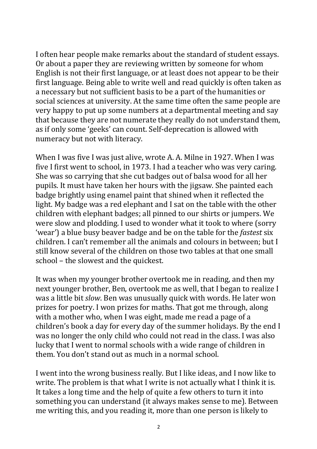I often hear people make remarks about the standard of student essays. Or about a paper they are reviewing written by someone for whom English is not their first language, or at least does not appear to be their first language. Being able to write well and read quickly is often taken as a necessary but not sufficient basis to be a part of the humanities or social sciences at university. At the same time often the same people are very happy to put up some numbers at a departmental meeting and say that because they are not numerate they really do not understand them, as if only some 'geeks' can count. Self-deprecation is allowed with numeracy but not with literacy.

When I was five I was just alive, wrote A. A. Milne in 1927. When I was five I first went to school, in 1973. I had a teacher who was very caring. She was so carrying that she cut badges out of balsa wood for all her pupils. It must have taken her hours with the jigsaw. She painted each badge brightly using enamel paint that shined when it reflected the light. My badge was a red elephant and I sat on the table with the other children with elephant badges; all pinned to our shirts or jumpers. We were slow and plodding. I used to wonder what it took to where (sorry 'wear') a blue busy beaver badge and be on the table for the *fastest* six children. I can't remember all the animals and colours in between; but I still know several of the children on those two tables at that one small school - the slowest and the quickest.

It was when my younger brother overtook me in reading, and then my next younger brother, Ben, overtook me as well, that I began to realize I was a little bit *slow*. Ben was unusually quick with words. He later won prizes for poetry. I won prizes for maths. That got me through, along with a mother who, when I was eight, made me read a page of a children's book a day for every day of the summer holidays. By the end I was no longer the only child who could not read in the class. I was also lucky that I went to normal schools with a wide range of children in them. You don't stand out as much in a normal school.

I went into the wrong business really. But I like ideas, and I now like to write. The problem is that what I write is not actually what I think it is. It takes a long time and the help of quite a few others to turn it into something you can understand (it always makes sense to me). Between me writing this, and you reading it, more than one person is likely to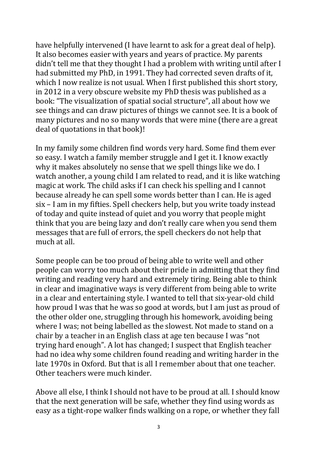have helpfully intervened (I have learnt to ask for a great deal of help). It also becomes easier with years and years of practice. My parents didn't tell me that they thought I had a problem with writing until after I had submitted my PhD, in 1991. They had corrected seven drafts of it, which I now realize is not usual. When I first published this short story, in 2012 in a very obscure website my PhD thesis was published as a book: "The visualization of spatial social structure", all about how we see things and can draw pictures of things we cannot see. It is a book of many pictures and no so many words that were mine (there are a great deal of quotations in that book)!

In my family some children find words very hard. Some find them ever so easy. I watch a family member struggle and I get it. I know exactly why it makes absolutely no sense that we spell things like we do. I watch another, a young child I am related to read, and it is like watching magic at work. The child asks if I can check his spelling and I cannot because already he can spell some words better than I can. He is aged six - I am in my fifties. Spell checkers help, but you write toady instead of today and quite instead of quiet and you worry that people might think that you are being lazy and don't really care when you send them messages that are full of errors, the spell checkers do not help that much at all.

Some people can be too proud of being able to write well and other people can worry too much about their pride in admitting that they find writing and reading very hard and extremely tiring. Being able to think in clear and imaginative ways is very different from being able to write in a clear and entertaining style. I wanted to tell that six-year-old child how proud I was that he was so good at words, but I am just as proud of the other older one, struggling through his homework, avoiding being where I was; not being labelled as the slowest. Not made to stand on a chair by a teacher in an English class at age ten because I was "not trying hard enough". A lot has changed; I suspect that English teacher had no idea why some children found reading and writing harder in the late 1970s in Oxford. But that is all I remember about that one teacher. Other teachers were much kinder.

Above all else, I think I should not have to be proud at all. I should know that the next generation will be safe, whether they find using words as easy as a tight-rope walker finds walking on a rope, or whether they fall